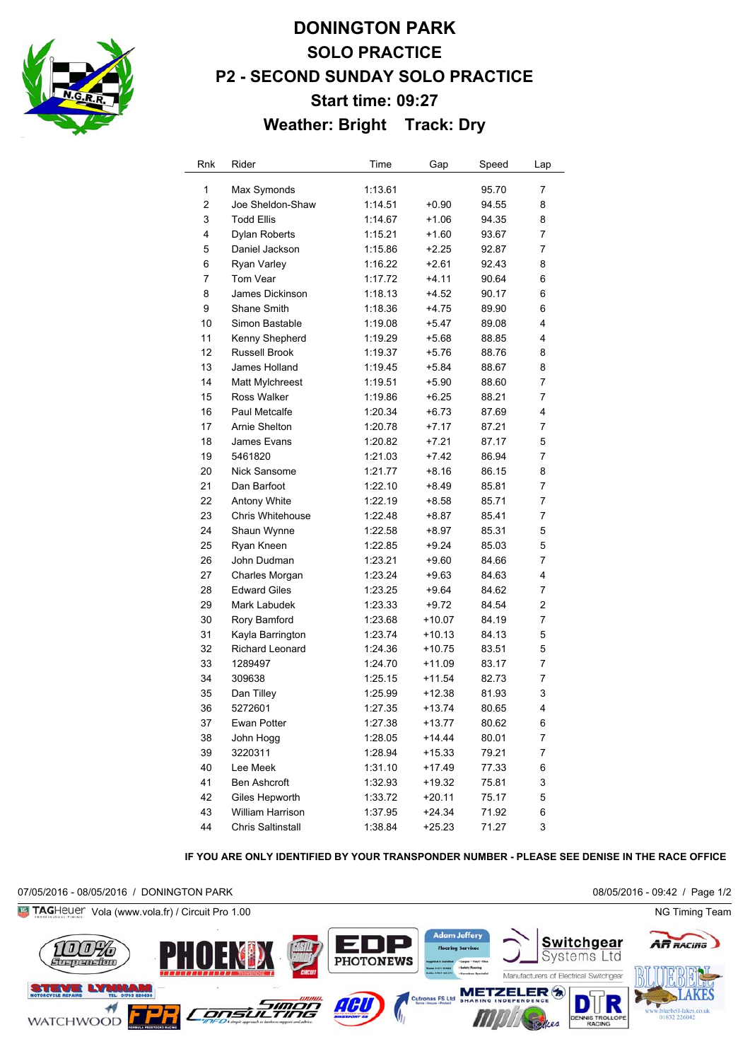

# **DONINGTON PARK SOLO PRACTICE P2 - SECOND SUNDAY SOLO PRACTICE Start time: 09:27 Weather: Bright Track: Dry**

| Rnk            | Rider                    | Time    | Gap      | Speed | Lap |
|----------------|--------------------------|---------|----------|-------|-----|
| 1              | Max Symonds              | 1:13.61 |          | 95.70 | 7   |
| $\overline{c}$ | Joe Sheldon-Shaw         | 1:14.51 | $+0.90$  | 94.55 | 8   |
| 3              | <b>Todd Ellis</b>        | 1:14.67 | $+1.06$  | 94.35 | 8   |
| 4              | <b>Dylan Roberts</b>     | 1:15.21 | $+1.60$  | 93.67 | 7   |
| 5              | Daniel Jackson           | 1:15.86 | $+2.25$  | 92.87 | 7   |
| 6              | Ryan Varley              | 1:16.22 | $+2.61$  | 92.43 | 8   |
| 7              | Tom Vear                 | 1:17.72 | $+4.11$  | 90.64 | 6   |
| 8              | James Dickinson          | 1:18.13 | +4.52    | 90.17 | 6   |
| 9              | Shane Smith              | 1:18.36 | $+4.75$  | 89.90 | 6   |
| 10             | Simon Bastable           | 1:19.08 | $+5.47$  | 89.08 | 4   |
| 11             | Kenny Shepherd           | 1:19.29 | +5.68    | 88.85 | 4   |
| 12             | <b>Russell Brook</b>     | 1:19.37 | $+5.76$  | 88.76 | 8   |
| 13             | James Holland            | 1:19.45 | $+5.84$  | 88.67 | 8   |
| 14             | Matt Mylchreest          | 1:19.51 | $+5.90$  | 88.60 | 7   |
| 15             | Ross Walker              | 1:19.86 | $+6.25$  | 88.21 | 7   |
| 16             | Paul Metcalfe            | 1:20.34 | $+6.73$  | 87.69 | 4   |
| 17             | Arnie Shelton            | 1:20.78 | +7.17    | 87.21 | 7   |
| 18             | James Evans              | 1:20.82 | $+7.21$  | 87.17 | 5   |
| 19             | 5461820                  | 1:21.03 | $+7.42$  | 86.94 | 7   |
| 20             | Nick Sansome             | 1:21.77 | $+8.16$  | 86.15 | 8   |
| 21             | Dan Barfoot              | 1:22.10 | $+8.49$  | 85.81 | 7   |
| 22             | Antony White             | 1:22.19 | +8.58    | 85.71 | 7   |
| 23             | Chris Whitehouse         | 1:22.48 | +8.87    | 85.41 | 7   |
| 24             | Shaun Wynne              | 1:22.58 | +8.97    | 85.31 | 5   |
| 25             | Ryan Kneen               | 1:22.85 | $+9.24$  | 85.03 | 5   |
| 26             | John Dudman              | 1:23.21 | $+9.60$  | 84.66 | 7   |
| 27             | Charles Morgan           | 1:23.24 | $+9.63$  | 84.63 | 4   |
| 28             | <b>Edward Giles</b>      | 1:23.25 | +9.64    | 84.62 | 7   |
| 29             | Mark Labudek             | 1:23.33 | +9.72    | 84.54 | 2   |
| 30             | Rory Bamford             | 1:23.68 | +10.07   | 84.19 | 7   |
| 31             | Kayla Barrington         | 1:23.74 | $+10.13$ | 84.13 | 5   |
| 32             | Richard Leonard          | 1:24.36 | $+10.75$ | 83.51 | 5   |
| 33             | 1289497                  | 1:24.70 | +11.09   | 83.17 | 7   |
| 34             | 309638                   | 1:25.15 | $+11.54$ | 82.73 | 7   |
| 35             | Dan Tilley               | 1:25.99 | $+12.38$ | 81.93 | 3   |
| 36             | 5272601                  | 1:27.35 | $+13.74$ | 80.65 | 4   |
| 37             | Ewan Potter              | 1:27.38 | $+13.77$ | 80.62 | 6   |
| 38             | John Hogg                | 1:28.05 | $+14.44$ | 80.01 | 7   |
| 39             | 3220311                  | 1:28.94 | $+15.33$ | 79.21 | 7   |
| 40             | Lee Meek                 | 1:31.10 | $+17.49$ | 77.33 | 6   |
| 41             | <b>Ben Ashcroft</b>      | 1:32.93 | $+19.32$ | 75.81 | 3   |
| 42             | Giles Hepworth           | 1:33.72 | $+20.11$ | 75.17 | 5   |
| 43             | William Harrison         | 1:37.95 | $+24.34$ | 71.92 | 6   |
| 44             | <b>Chris Saltinstall</b> | 1:38.84 | $+25.23$ | 71.27 | 3   |

#### **IF YOU ARE ONLY IDENTIFIED BY YOUR TRANSPONDER NUMBER - PLEASE SEE DENISE IN THE RACE OFFICE**

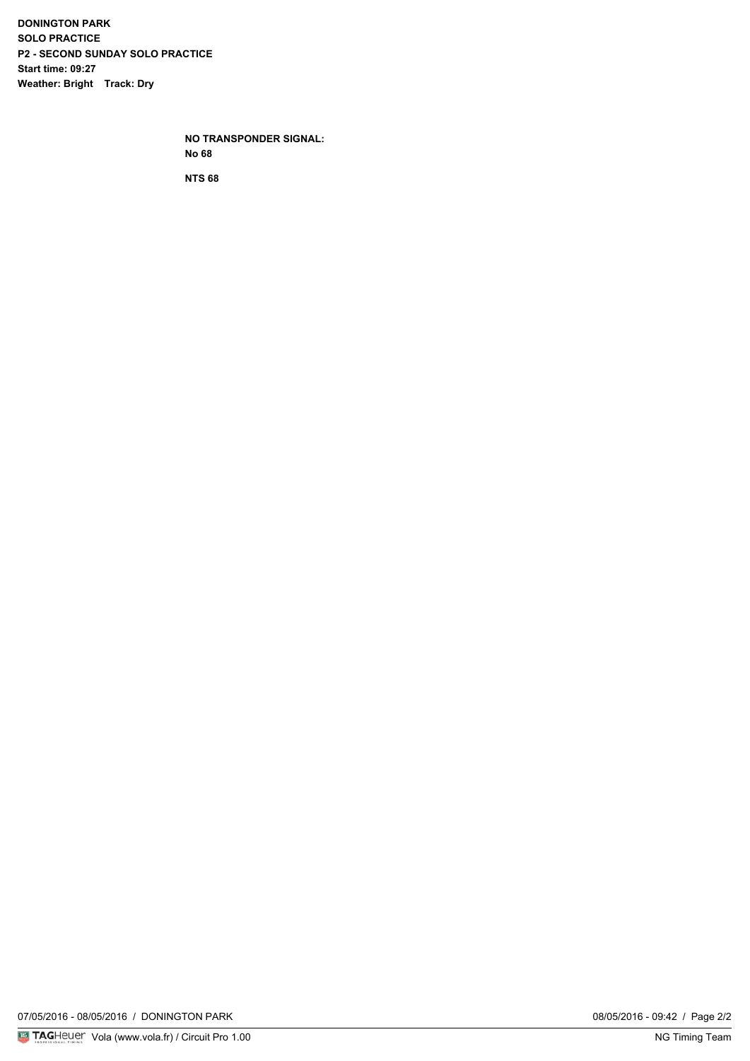**DONINGTON PARK SOLO PRACTICE P2 - SECOND SUNDAY SOLO PRACTICE Start time: 09:27 Weather: Bright Track: Dry**

> **NO TRANSPONDER SIGNAL: No 68**

**NTS 68**

07/05/2016 - 08/05/2016 / DONINGTON PARK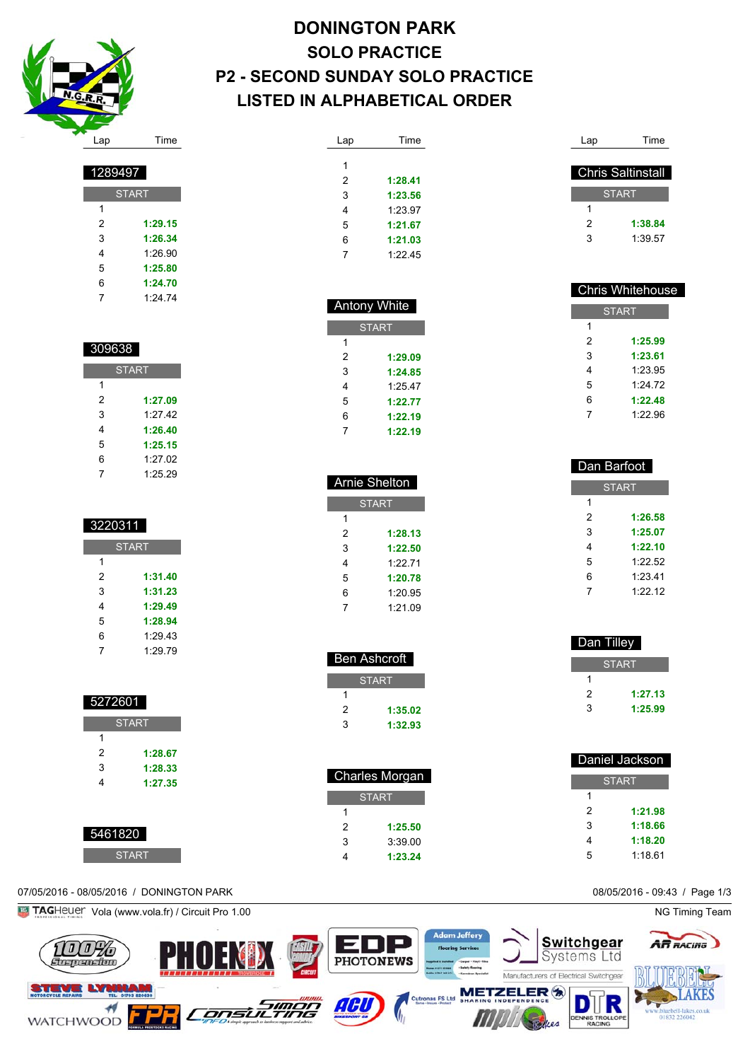

**START** 

 **1:29.15 1:26.34** 1:26.90 **1:25.80 1:24.70** 1:24.74

| <b>DONINGTON PARK</b>                   |
|-----------------------------------------|
| <b>SOLO PRACTICE</b>                    |
| <b>P2 - SECOND SUNDAY SOLO PRACTICE</b> |
| <b>LISTED IN ALPHABETICAL ORDER</b>     |

| Lap | Time    |
|-----|---------|
|     |         |
| 1   |         |
| 2   | 1:28.41 |
| 3   | 1:23.56 |
| 4   | 1:23.97 |
| 5   | 1:21.67 |
| 6   | 1:21.03 |
| 7   | 1:22.45 |
|     |         |

 Antony White **START** 

> **1:29.09 1:24.85** 1:25.47 **1:22.77 1:22.19 1:22.19**

 Arnie Shelton **START** 

> **1:28.13 1:22.50** 1:22.71 **1:20.78** 1:20.95 1:21.09

 Ben Ashcroft START

> **1:35.02 1:32.93**

 Charles Morgan **START** 

> **1:25.50** 3:39.00 **1:23.24**

| Lap          | Time                     |  |
|--------------|--------------------------|--|
|              |                          |  |
|              | <b>Chris Saltinstall</b> |  |
| <b>START</b> |                          |  |
|              |                          |  |
| 1            |                          |  |
| 2            | 1:38.84                  |  |
| 3            | 1:39.57                  |  |
|              |                          |  |

| <b>Chris Whitehouse</b> |         |  |
|-------------------------|---------|--|
| <b>START</b>            |         |  |
| 1                       |         |  |
| 2                       | 1:25.99 |  |
| 3                       | 1:23.61 |  |
| 4                       | 1:23.95 |  |
| 5                       | 1.24.72 |  |
| 6                       | 1:22.48 |  |
|                         | 1:22.96 |  |
|                         |         |  |

| Dan Barfoot |              |  |  |
|-------------|--------------|--|--|
|             | <b>START</b> |  |  |
| 1           |              |  |  |
| 2           | 1:26.58      |  |  |
| 3           | 1:25.07      |  |  |
| 4           | 1:22.10      |  |  |
| 5           | 1:22.52      |  |  |
| 6           | 1:23.41      |  |  |
| 7           | 1:2212       |  |  |
|             |              |  |  |

| Dan Tilley |              |
|------------|--------------|
|            | <b>START</b> |
|            |              |
| 2          | 1:27.13      |
| 3          | 1:25.99      |
|            |              |

| Daniel Jackson |         |  |
|----------------|---------|--|
| <b>START</b>   |         |  |
| 1              |         |  |
| 2              | 1:21.98 |  |
| 3              | 1:18.66 |  |
| 4              | 1:18.20 |  |
| 5              | 1:18.61 |  |



| 309638       |         |  |
|--------------|---------|--|
| <b>START</b> |         |  |
| 1            |         |  |
| 2            | 1:27.09 |  |
| 3            | 1:27.42 |  |
| 4            | 1:26.40 |  |
| 5            | 1:25.15 |  |
| 6            | 1:27.02 |  |
| 7            | 1:25.29 |  |

| 3220311      |         |  |
|--------------|---------|--|
| <b>START</b> |         |  |
| 1            |         |  |
| 2            | 1:31.40 |  |
| 3            | 1:31.23 |  |
| 4            | 1:29.49 |  |
| 5            | 1:28.94 |  |
| 6            | 1:29.43 |  |
| 7            | 1:29.79 |  |

| 5272601      |         |
|--------------|---------|
| <b>START</b> |         |
| 1            |         |
| 2            | 1:28.67 |
| 3            | 1:28.33 |
| 4            | 1:27.35 |
|              |         |

| 5461820 |
|---------|
| START   |

# 07/05/2016 - 08/05/2016 / DONINGTON PARK 08/05/2016 - 09:43 / Page 1/3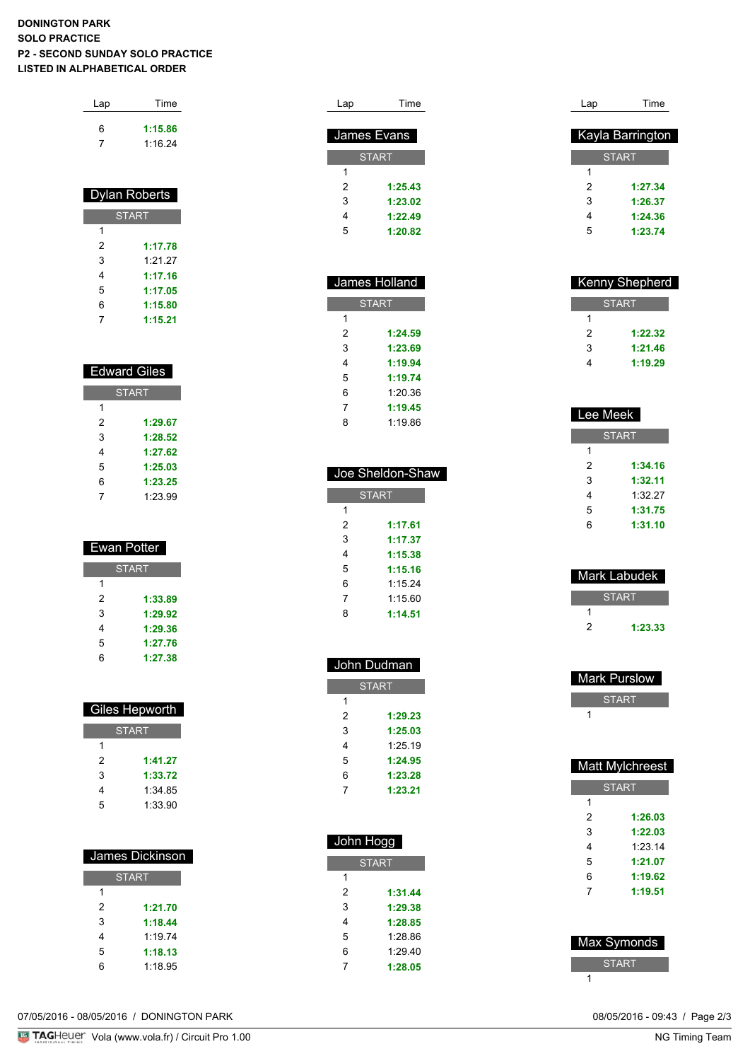## **DONINGTON PARK SOLO PRACTICE P2 - SECOND SUNDAY SOLO PRACTICE LISTED IN ALPHABETICAL ORDER**

| Lap | Time    |
|-----|---------|
| 6   | 1:15.86 |
|     | 1:16.24 |

| <b>Dylan Roberts</b> |         |  |
|----------------------|---------|--|
| <b>START</b>         |         |  |
| 1                    |         |  |
| 2                    | 1:17.78 |  |
| 3                    | 1:21.27 |  |
| 4                    | 1:17.16 |  |
| 5                    | 1:17.05 |  |
| 6                    | 1:15.80 |  |
|                      | 1:15.21 |  |

| <b>Edward Giles</b> |         |  |
|---------------------|---------|--|
| <b>START</b>        |         |  |
| 1                   |         |  |
| 2                   | 1:29.67 |  |
| 3                   | 1:28.52 |  |
| 4                   | 1:27.62 |  |
| 5                   | 1:25.03 |  |
| 6                   | 1:23.25 |  |
|                     | 1:23.99 |  |

| <b>Ewan Potter</b> |         |  |
|--------------------|---------|--|
| <b>START</b>       |         |  |
| 1                  |         |  |
| 2                  | 1:33.89 |  |
| 3                  | 1:29.92 |  |
| 4                  | 1:29.36 |  |
| 5                  | 1:27.76 |  |
| 6                  | 1:27.38 |  |

| Giles Hepworth |              |  |
|----------------|--------------|--|
|                | <b>START</b> |  |
| 1              |              |  |
| 2              | 1:41.27      |  |
| 3              | 1:33.72      |  |
| 4              | 1:34.85      |  |
| 5              | 1:33.90      |  |

| James Dickinson |         |  |
|-----------------|---------|--|
| <b>START</b>    |         |  |
| 1               |         |  |
| 2               | 1:21.70 |  |
| 3               | 1:18.44 |  |
| 4               | 1.1974  |  |
| 5               | 1:18.13 |  |
| հ               | 1:18.95 |  |

| Lap | Time         |
|-----|--------------|
|     |              |
|     | James Evans  |
|     | <b>START</b> |
| 1   |              |
| 2   | 1:25.43      |
| 3   | 1:23.02      |
| 4   | 1:22.49      |
| 5   | 1:20.82      |
|     |              |

I

| James Holland |         |  |
|---------------|---------|--|
| <b>START</b>  |         |  |
| 1             |         |  |
| 2             | 1:24.59 |  |
| 3             | 1:23.69 |  |
| 4             | 1:19.94 |  |
| 5             | 1:19.74 |  |
| 6             | 1:20.36 |  |
| 7             | 1:19.45 |  |
| 8             | 1:19.86 |  |

| Joe Sheldon-Shaw |         |  |
|------------------|---------|--|
| <b>START</b>     |         |  |
| 1                |         |  |
| 2                | 1:17.61 |  |
| 3                | 1:17.37 |  |
| 4                | 1:15.38 |  |
| 5                | 1:15.16 |  |
| 6                | 1.1524  |  |
| 7                | 1.1560  |  |
| 8                | 1:14.51 |  |
|                  |         |  |

| John Dudman  |         |  |
|--------------|---------|--|
| <b>START</b> |         |  |
| 1            |         |  |
| 2            | 1:29.23 |  |
| 3            | 1:25.03 |  |
| 4            | 1:25.19 |  |
| 5            | 1:24.95 |  |
| 6            | 1:23.28 |  |
| 7            | 1:23.21 |  |

| John Hogg    |         |  |
|--------------|---------|--|
| <b>START</b> |         |  |
| 1            |         |  |
| 2            | 1:31.44 |  |
| 3            | 1:29.38 |  |
| 4            | 1:28.85 |  |
| 5            | 1:28.86 |  |
| 6            | 1:29.40 |  |
| 7            | 1:28.05 |  |

| Lap | Time                    |
|-----|-------------------------|
|     |                         |
|     | <b>Kayla Barrington</b> |
|     | <b>START</b>            |
| 1   |                         |
| 2   | 1:27.34                 |
| 3   | 1:26.37                 |
| 4   | 1:24.36                 |
| 5   | 1:23.74                 |
|     |                         |

| <b>Kenny Shepherd</b> |         |
|-----------------------|---------|
| <b>START</b>          |         |
|                       |         |
| 2                     | 1:22.32 |
| 3                     | 1:21.46 |
|                       | 1:19.29 |
|                       |         |

| Lee Meek     |         |
|--------------|---------|
| <b>START</b> |         |
| 1            |         |
| 2            | 1:34.16 |
| 3            | 1:32.11 |
| 4            | 1:32.27 |
| 5            | 1:31.75 |
| հ            | 1:31.10 |

| Mark Labudek |         |
|--------------|---------|
|              | 'START  |
|              |         |
| 2            | 1:23.33 |
|              |         |

| <b>Mark Purslow</b> |  |
|---------------------|--|
| <b>START</b>        |  |
|                     |  |

| Matt Mylchreest |              |  |
|-----------------|--------------|--|
|                 | <b>START</b> |  |
| 1               |              |  |
| 2               | 1:26.03      |  |
| 3               | 1:22.03      |  |
| 4               | 1:23.14      |  |
| 5               | 1:21.07      |  |
| 6               | 1:19.62      |  |
| 7               | 1:19.51      |  |
|                 |              |  |
|                 |              |  |
| Max Symonds     |              |  |
| <b>START</b>    |              |  |

07/05/2016 - 08/05/2016 / DONINGTON PARK